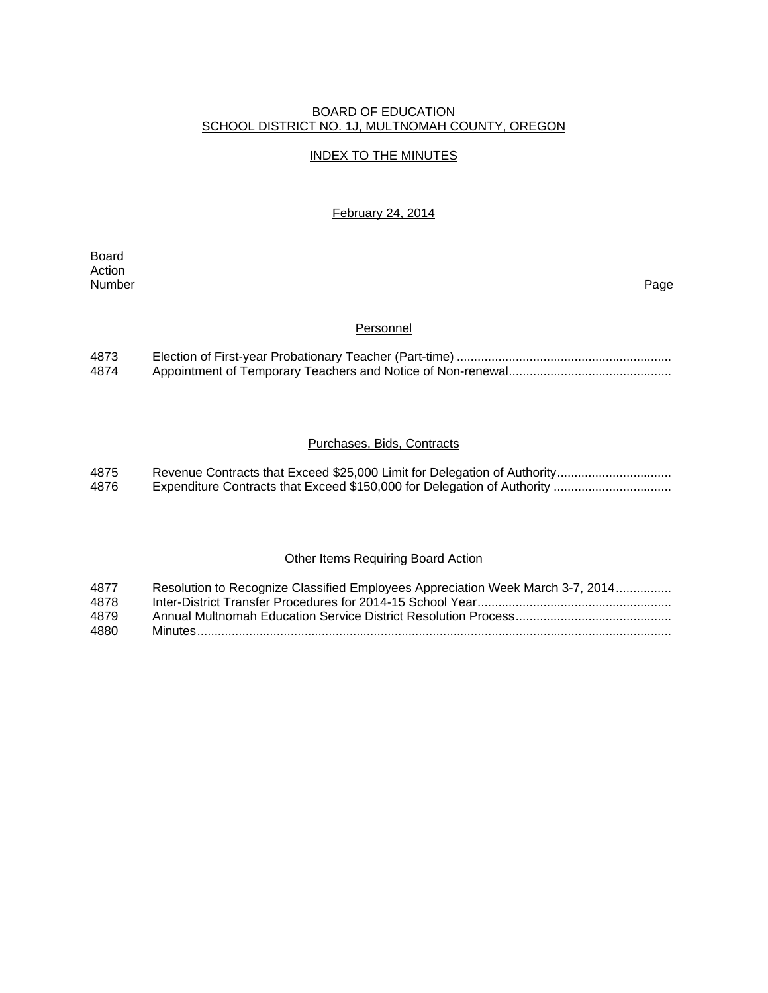#### BOARD OF EDUCATION SCHOOL DISTRICT NO. 1J, MULTNOMAH COUNTY, OREGON

# INDEX TO THE MINUTES

February 24, 2014

Board Action<br>Number Number Page

#### **Personnel**

| 4873 |  |
|------|--|
| 4874 |  |

# Purchases, Bids, Contracts

| 4875 |  |
|------|--|
| 4876 |  |

# Other Items Requiring Board Action

| 4877 | Resolution to Recognize Classified Employees Appreciation Week March 3-7, 2014 |
|------|--------------------------------------------------------------------------------|
| 4878 |                                                                                |
| 4879 |                                                                                |
| 4880 |                                                                                |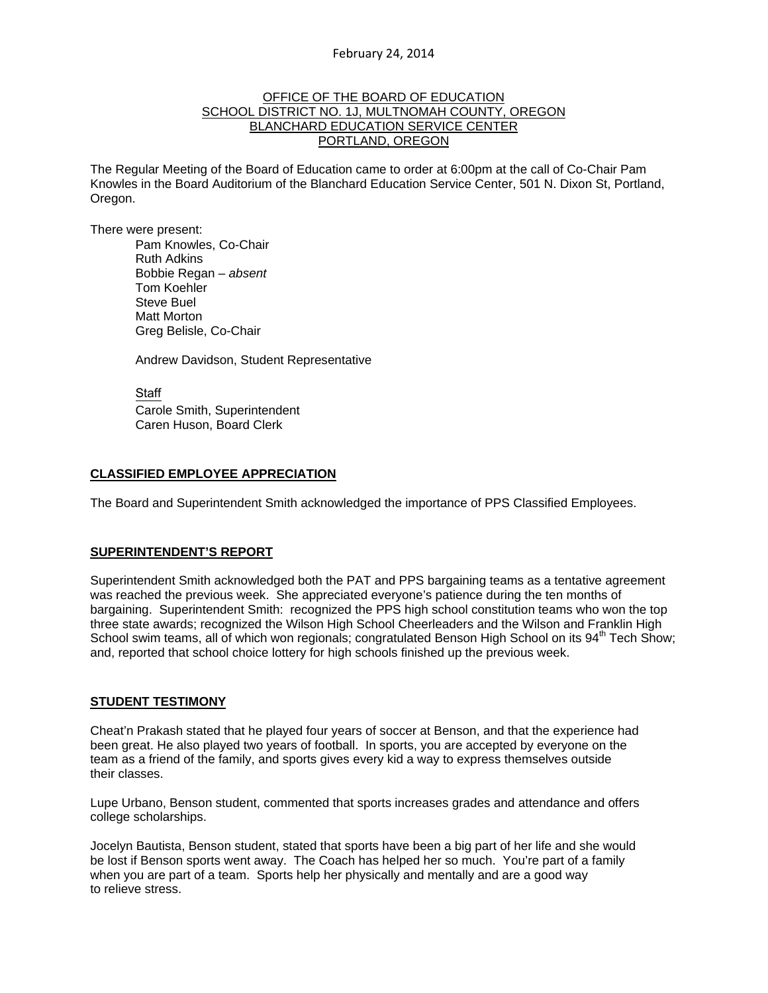## OFFICE OF THE BOARD OF EDUCATION SCHOOL DISTRICT NO. 1J, MULTNOMAH COUNTY, OREGON BLANCHARD EDUCATION SERVICE CENTER PORTLAND, OREGON

The Regular Meeting of the Board of Education came to order at 6:00pm at the call of Co-Chair Pam Knowles in the Board Auditorium of the Blanchard Education Service Center, 501 N. Dixon St, Portland, Oregon.

There were present: Pam Knowles, Co-Chair Ruth Adkins Bobbie Regan – *absent* Tom Koehler Steve Buel Matt Morton Greg Belisle, Co-Chair

Andrew Davidson, Student Representative

Staff Carole Smith, Superintendent Caren Huson, Board Clerk

## **CLASSIFIED EMPLOYEE APPRECIATION**

The Board and Superintendent Smith acknowledged the importance of PPS Classified Employees.

#### **SUPERINTENDENT'S REPORT**

Superintendent Smith acknowledged both the PAT and PPS bargaining teams as a tentative agreement was reached the previous week. She appreciated everyone's patience during the ten months of bargaining. Superintendent Smith: recognized the PPS high school constitution teams who won the top three state awards; recognized the Wilson High School Cheerleaders and the Wilson and Franklin High School swim teams, all of which won regionals; congratulated Benson High School on its 94<sup>th</sup> Tech Show; and, reported that school choice lottery for high schools finished up the previous week.

#### **STUDENT TESTIMONY**

Cheat'n Prakash stated that he played four years of soccer at Benson, and that the experience had been great. He also played two years of football. In sports, you are accepted by everyone on the team as a friend of the family, and sports gives every kid a way to express themselves outside their classes.

Lupe Urbano, Benson student, commented that sports increases grades and attendance and offers college scholarships.

Jocelyn Bautista, Benson student, stated that sports have been a big part of her life and she would be lost if Benson sports went away. The Coach has helped her so much. You're part of a family when you are part of a team. Sports help her physically and mentally and are a good way to relieve stress.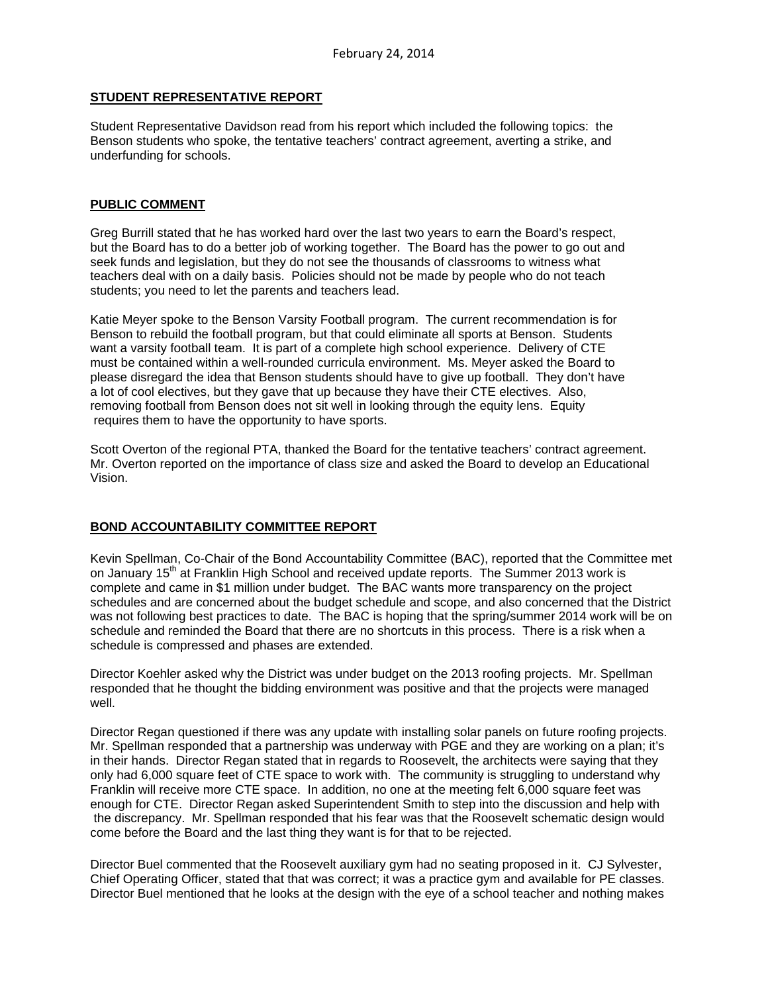## **STUDENT REPRESENTATIVE REPORT**

Student Representative Davidson read from his report which included the following topics: the Benson students who spoke, the tentative teachers' contract agreement, averting a strike, and underfunding for schools.

#### **PUBLIC COMMENT**

Greg Burrill stated that he has worked hard over the last two years to earn the Board's respect, but the Board has to do a better job of working together. The Board has the power to go out and seek funds and legislation, but they do not see the thousands of classrooms to witness what teachers deal with on a daily basis. Policies should not be made by people who do not teach students; you need to let the parents and teachers lead.

Katie Meyer spoke to the Benson Varsity Football program. The current recommendation is for Benson to rebuild the football program, but that could eliminate all sports at Benson. Students want a varsity football team. It is part of a complete high school experience. Delivery of CTE must be contained within a well-rounded curricula environment. Ms. Meyer asked the Board to please disregard the idea that Benson students should have to give up football. They don't have a lot of cool electives, but they gave that up because they have their CTE electives. Also, removing football from Benson does not sit well in looking through the equity lens. Equity requires them to have the opportunity to have sports.

Scott Overton of the regional PTA, thanked the Board for the tentative teachers' contract agreement. Mr. Overton reported on the importance of class size and asked the Board to develop an Educational Vision.

# **BOND ACCOUNTABILITY COMMITTEE REPORT**

Kevin Spellman, Co-Chair of the Bond Accountability Committee (BAC), reported that the Committee met on January 15<sup>th</sup> at Franklin High School and received update reports. The Summer 2013 work is complete and came in \$1 million under budget. The BAC wants more transparency on the project schedules and are concerned about the budget schedule and scope, and also concerned that the District was not following best practices to date. The BAC is hoping that the spring/summer 2014 work will be on schedule and reminded the Board that there are no shortcuts in this process. There is a risk when a schedule is compressed and phases are extended.

Director Koehler asked why the District was under budget on the 2013 roofing projects. Mr. Spellman responded that he thought the bidding environment was positive and that the projects were managed well.

Director Regan questioned if there was any update with installing solar panels on future roofing projects. Mr. Spellman responded that a partnership was underway with PGE and they are working on a plan; it's in their hands. Director Regan stated that in regards to Roosevelt, the architects were saying that they only had 6,000 square feet of CTE space to work with. The community is struggling to understand why Franklin will receive more CTE space. In addition, no one at the meeting felt 6,000 square feet was enough for CTE. Director Regan asked Superintendent Smith to step into the discussion and help with the discrepancy. Mr. Spellman responded that his fear was that the Roosevelt schematic design would come before the Board and the last thing they want is for that to be rejected.

Director Buel commented that the Roosevelt auxiliary gym had no seating proposed in it. CJ Sylvester, Chief Operating Officer, stated that that was correct; it was a practice gym and available for PE classes. Director Buel mentioned that he looks at the design with the eye of a school teacher and nothing makes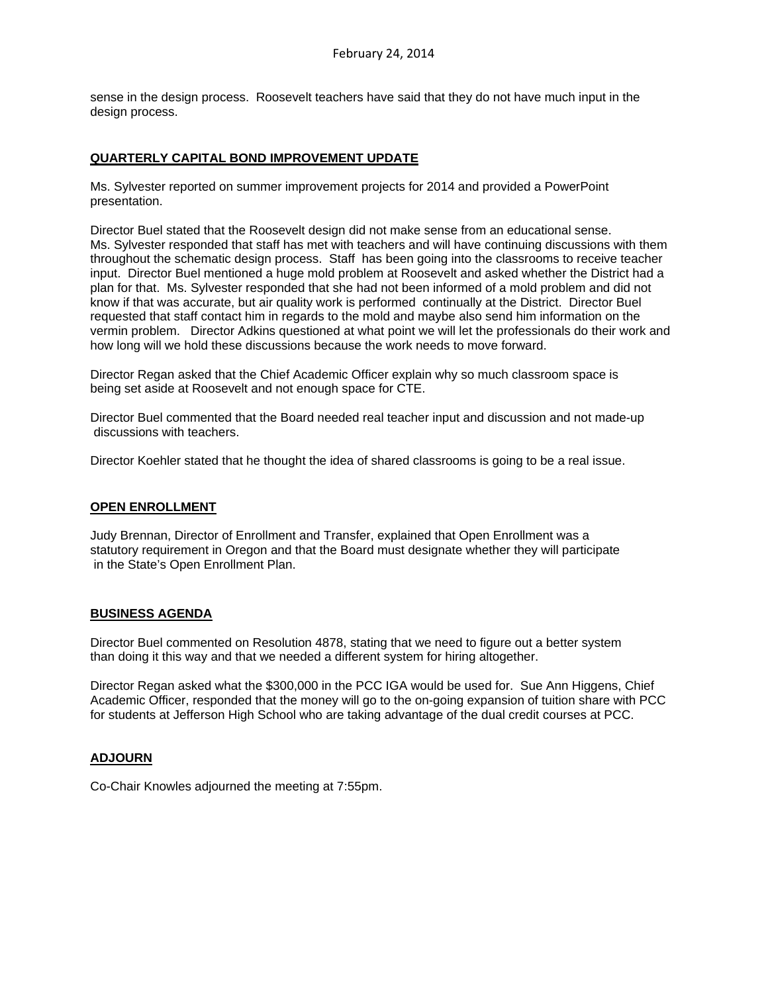sense in the design process. Roosevelt teachers have said that they do not have much input in the design process.

## **QUARTERLY CAPITAL BOND IMPROVEMENT UPDATE**

Ms. Sylvester reported on summer improvement projects for 2014 and provided a PowerPoint presentation.

Director Buel stated that the Roosevelt design did not make sense from an educational sense. Ms. Sylvester responded that staff has met with teachers and will have continuing discussions with them throughout the schematic design process. Staff has been going into the classrooms to receive teacher input. Director Buel mentioned a huge mold problem at Roosevelt and asked whether the District had a plan for that. Ms. Sylvester responded that she had not been informed of a mold problem and did not know if that was accurate, but air quality work is performed continually at the District. Director Buel requested that staff contact him in regards to the mold and maybe also send him information on the vermin problem. Director Adkins questioned at what point we will let the professionals do their work and how long will we hold these discussions because the work needs to move forward.

Director Regan asked that the Chief Academic Officer explain why so much classroom space is being set aside at Roosevelt and not enough space for CTE.

Director Buel commented that the Board needed real teacher input and discussion and not made-up discussions with teachers.

Director Koehler stated that he thought the idea of shared classrooms is going to be a real issue.

#### **OPEN ENROLLMENT**

Judy Brennan, Director of Enrollment and Transfer, explained that Open Enrollment was a statutory requirement in Oregon and that the Board must designate whether they will participate in the State's Open Enrollment Plan.

#### **BUSINESS AGENDA**

Director Buel commented on Resolution 4878, stating that we need to figure out a better system than doing it this way and that we needed a different system for hiring altogether.

Director Regan asked what the \$300,000 in the PCC IGA would be used for. Sue Ann Higgens, Chief Academic Officer, responded that the money will go to the on-going expansion of tuition share with PCC for students at Jefferson High School who are taking advantage of the dual credit courses at PCC.

# **ADJOURN**

Co-Chair Knowles adjourned the meeting at 7:55pm.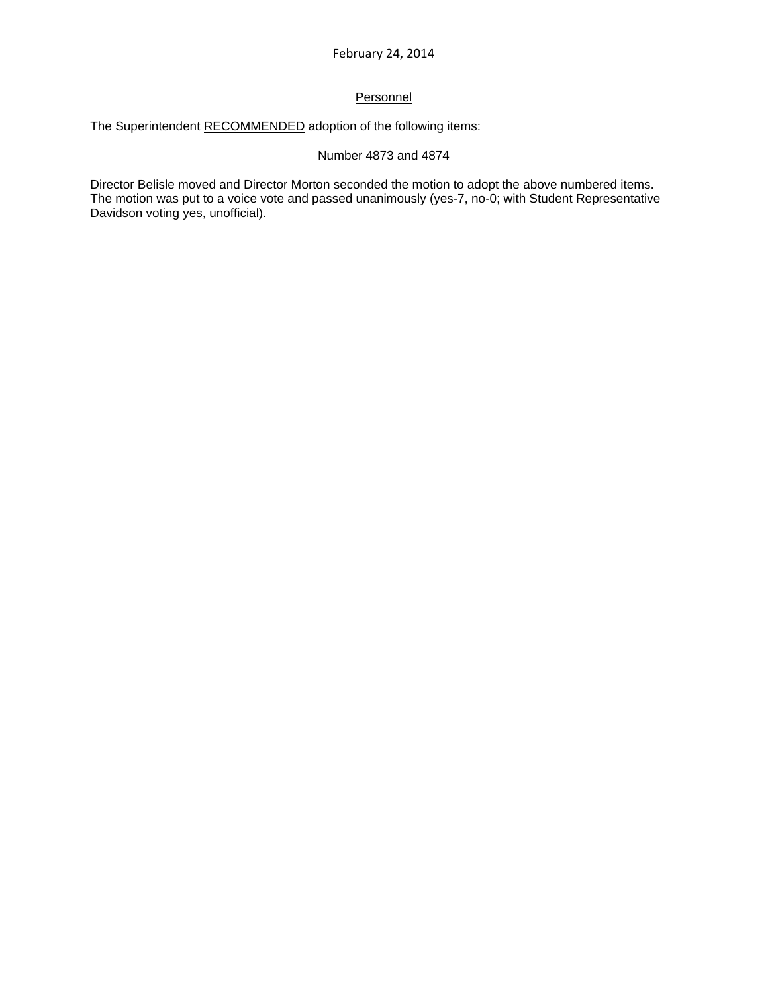# **Personnel**

The Superintendent RECOMMENDED adoption of the following items:

# Number 4873 and 4874

Director Belisle moved and Director Morton seconded the motion to adopt the above numbered items. The motion was put to a voice vote and passed unanimously (yes-7, no-0; with Student Representative Davidson voting yes, unofficial).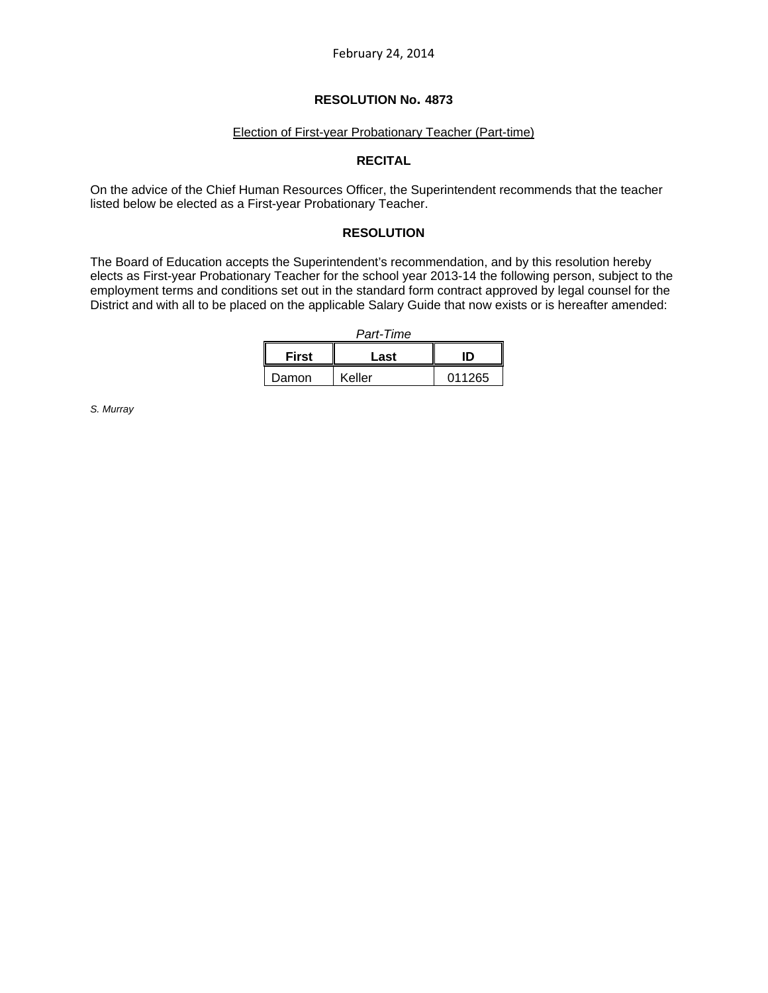#### Election of First-year Probationary Teacher (Part-time)

# **RECITAL**

On the advice of the Chief Human Resources Officer, the Superintendent recommends that the teacher listed below be elected as a First-year Probationary Teacher.

## **RESOLUTION**

The Board of Education accepts the Superintendent's recommendation, and by this resolution hereby elects as First-year Probationary Teacher for the school year 2013-14 the following person, subject to the employment terms and conditions set out in the standard form contract approved by legal counsel for the District and with all to be placed on the applicable Salary Guide that now exists or is hereafter amended:

| First | Last   | ID     |  |
|-------|--------|--------|--|
| Damon | Keller | 011265 |  |

*S. Murray*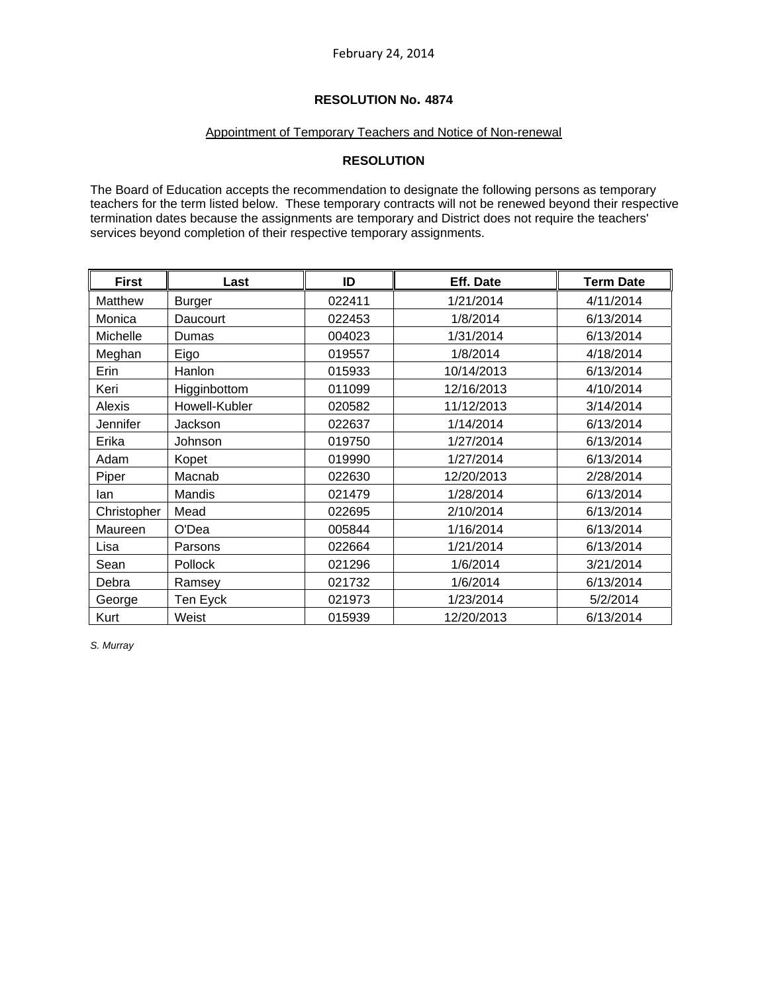## Appointment of Temporary Teachers and Notice of Non-renewal

# **RESOLUTION**

The Board of Education accepts the recommendation to designate the following persons as temporary teachers for the term listed below. These temporary contracts will not be renewed beyond their respective termination dates because the assignments are temporary and District does not require the teachers' services beyond completion of their respective temporary assignments.

| <b>First</b> | Last          | ID     | Eff. Date  | <b>Term Date</b> |
|--------------|---------------|--------|------------|------------------|
| Matthew      | <b>Burger</b> | 022411 | 1/21/2014  | 4/11/2014        |
| Monica       | Daucourt      | 022453 | 1/8/2014   | 6/13/2014        |
| Michelle     | Dumas         | 004023 | 1/31/2014  | 6/13/2014        |
| Meghan       | Eigo          | 019557 | 1/8/2014   | 4/18/2014        |
| Erin         | Hanlon        | 015933 | 10/14/2013 | 6/13/2014        |
| Keri         | Higginbottom  | 011099 | 12/16/2013 | 4/10/2014        |
| Alexis       | Howell-Kubler | 020582 | 11/12/2013 | 3/14/2014        |
| Jennifer     | Jackson       | 022637 | 1/14/2014  | 6/13/2014        |
| Erika        | Johnson       | 019750 | 1/27/2014  | 6/13/2014        |
| Adam         | Kopet         | 019990 | 1/27/2014  | 6/13/2014        |
| Piper        | Macnab        | 022630 | 12/20/2013 | 2/28/2014        |
| lan          | Mandis        | 021479 | 1/28/2014  | 6/13/2014        |
| Christopher  | Mead          | 022695 | 2/10/2014  | 6/13/2014        |
| Maureen      | O'Dea         | 005844 | 1/16/2014  | 6/13/2014        |
| Lisa         | Parsons       | 022664 | 1/21/2014  | 6/13/2014        |
| Sean         | Pollock       | 021296 | 1/6/2014   | 3/21/2014        |
| Debra        | Ramsey        | 021732 | 1/6/2014   | 6/13/2014        |
| George       | Ten Eyck      | 021973 | 1/23/2014  | 5/2/2014         |
| Kurt         | Weist         | 015939 | 12/20/2013 | 6/13/2014        |

*S. Murray*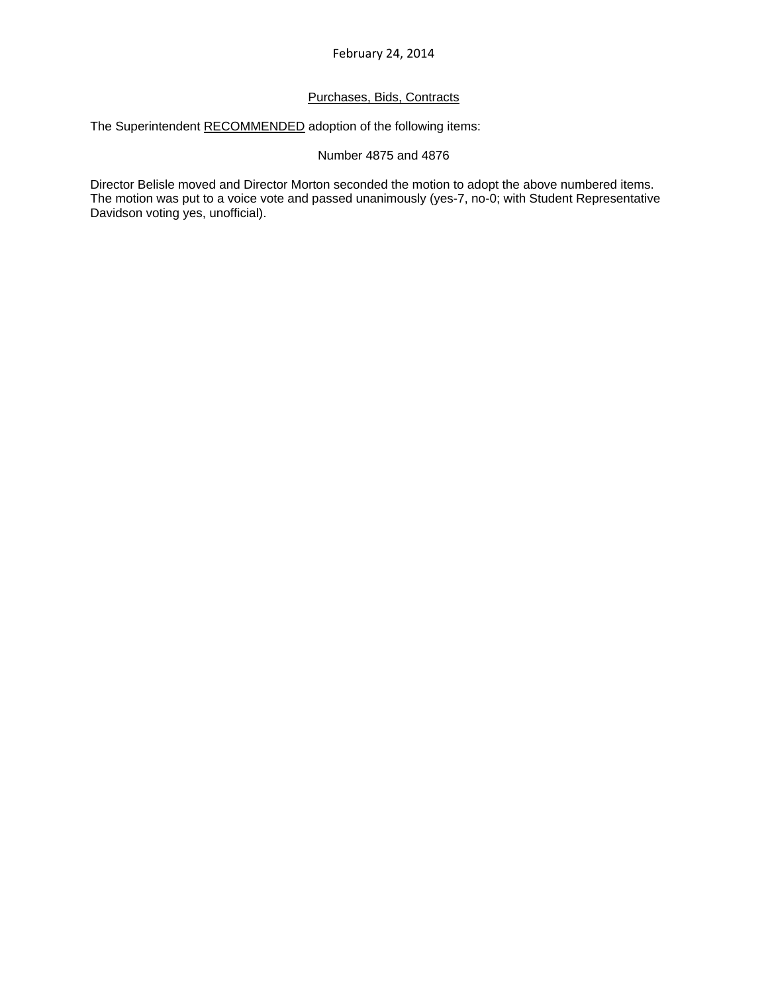# Purchases, Bids, Contracts

The Superintendent RECOMMENDED adoption of the following items:

## Number 4875 and 4876

Director Belisle moved and Director Morton seconded the motion to adopt the above numbered items. The motion was put to a voice vote and passed unanimously (yes-7, no-0; with Student Representative Davidson voting yes, unofficial).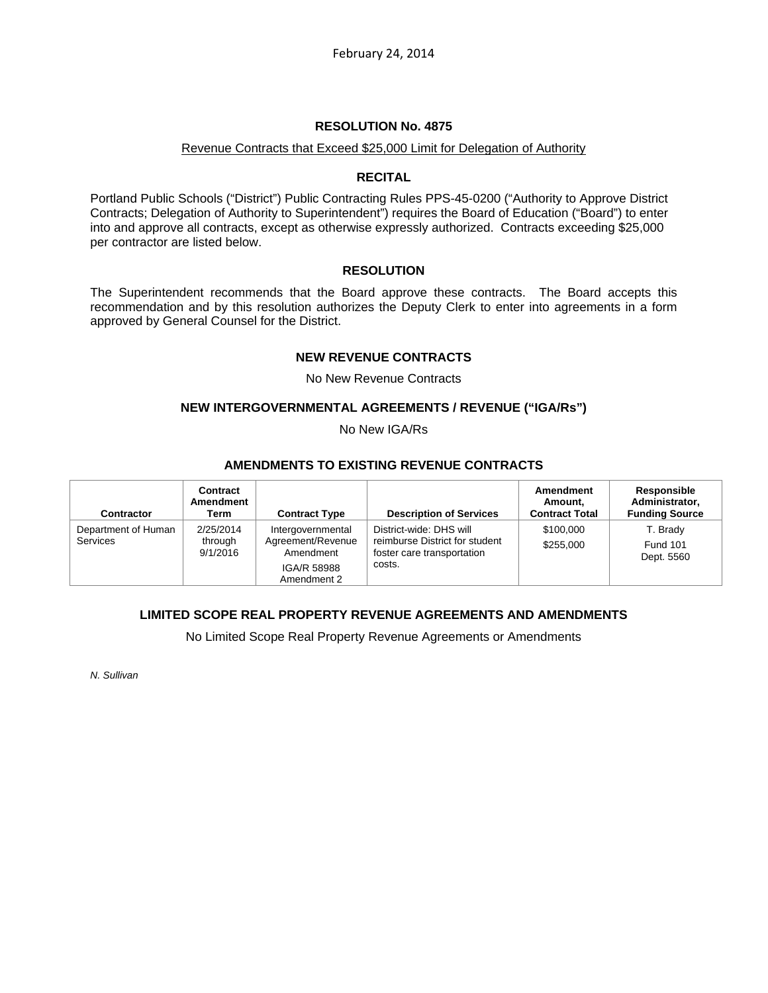#### Revenue Contracts that Exceed \$25,000 Limit for Delegation of Authority

## **RECITAL**

Portland Public Schools ("District") Public Contracting Rules PPS-45-0200 ("Authority to Approve District Contracts; Delegation of Authority to Superintendent") requires the Board of Education ("Board") to enter into and approve all contracts, except as otherwise expressly authorized. Contracts exceeding \$25,000 per contractor are listed below.

## **RESOLUTION**

The Superintendent recommends that the Board approve these contracts. The Board accepts this recommendation and by this resolution authorizes the Deputy Clerk to enter into agreements in a form approved by General Counsel for the District.

## **NEW REVENUE CONTRACTS**

No New Revenue Contracts

## **NEW INTERGOVERNMENTAL AGREEMENTS / REVENUE ("IGA/Rs")**

No New IGA/Rs

## **AMENDMENTS TO EXISTING REVENUE CONTRACTS**

| <b>Contractor</b>                      | Contract<br>Amendment<br>Term    | <b>Contract Type</b>                                                              | <b>Description of Services</b>                                                                    | Amendment<br>Amount.<br><b>Contract Total</b> | Responsible<br>Administrator,<br><b>Funding Source</b> |
|----------------------------------------|----------------------------------|-----------------------------------------------------------------------------------|---------------------------------------------------------------------------------------------------|-----------------------------------------------|--------------------------------------------------------|
| Department of Human<br><b>Services</b> | 2/25/2014<br>through<br>9/1/2016 | Intergovernmental<br>Agreement/Revenue<br>Amendment<br>IGA/R 58988<br>Amendment 2 | District-wide: DHS will<br>reimburse District for student<br>foster care transportation<br>costs. | \$100,000<br>\$255,000                        | T. Brady<br><b>Fund 101</b><br>Dept. 5560              |

# **LIMITED SCOPE REAL PROPERTY REVENUE AGREEMENTS AND AMENDMENTS**

No Limited Scope Real Property Revenue Agreements or Amendments

*N. Sullivan*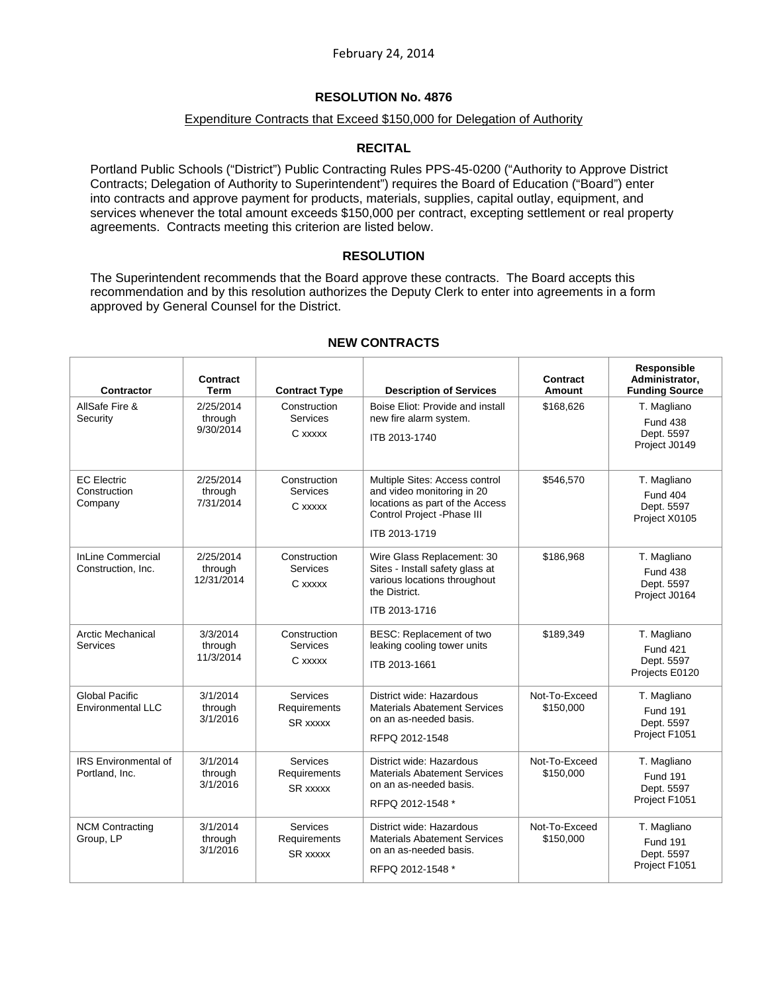## Expenditure Contracts that Exceed \$150,000 for Delegation of Authority

# **RECITAL**

Portland Public Schools ("District") Public Contracting Rules PPS-45-0200 ("Authority to Approve District Contracts; Delegation of Authority to Superintendent") requires the Board of Education ("Board") enter into contracts and approve payment for products, materials, supplies, capital outlay, equipment, and services whenever the total amount exceeds \$150,000 per contract, excepting settlement or real property agreements. Contracts meeting this criterion are listed below.

## **RESOLUTION**

The Superintendent recommends that the Board approve these contracts. The Board accepts this recommendation and by this resolution authorizes the Deputy Clerk to enter into agreements in a form approved by General Counsel for the District.

| <b>Contractor</b>                              | <b>Contract</b><br><b>Term</b>     | <b>Contract Type</b>                               | <b>Description of Services</b>                                                                                                                  | <b>Contract</b><br><b>Amount</b> | Responsible<br>Administrator,<br><b>Funding Source</b>         |
|------------------------------------------------|------------------------------------|----------------------------------------------------|-------------------------------------------------------------------------------------------------------------------------------------------------|----------------------------------|----------------------------------------------------------------|
| AllSafe Fire &<br>Security                     | 2/25/2014<br>through<br>9/30/2014  | Construction<br><b>Services</b><br>C xxxxx         | Boise Eliot: Provide and install<br>new fire alarm system.<br>ITB 2013-1740                                                                     | \$168,626                        | T. Magliano<br><b>Fund 438</b><br>Dept. 5597<br>Project J0149  |
| <b>EC Electric</b><br>Construction<br>Company  | 2/25/2014<br>through<br>7/31/2014  | Construction<br><b>Services</b><br>C xxxxx         | Multiple Sites: Access control<br>and video monitoring in 20<br>locations as part of the Access<br>Control Project - Phase III<br>ITB 2013-1719 | \$546,570                        | T. Magliano<br><b>Fund 404</b><br>Dept. 5597<br>Project X0105  |
| <b>InLine Commercial</b><br>Construction, Inc. | 2/25/2014<br>through<br>12/31/2014 | Construction<br><b>Services</b><br>C xxxxx         | Wire Glass Replacement: 30<br>Sites - Install safety glass at<br>various locations throughout<br>the District.<br>ITB 2013-1716                 | \$186,968                        | T. Magliano<br><b>Fund 438</b><br>Dept. 5597<br>Project J0164  |
| <b>Arctic Mechanical</b><br>Services           | 3/3/2014<br>through<br>11/3/2014   | Construction<br><b>Services</b><br>C xxxxx         | BESC: Replacement of two<br>leaking cooling tower units<br>ITB 2013-1661                                                                        | \$189,349                        | T. Magliano<br><b>Fund 421</b><br>Dept. 5597<br>Projects E0120 |
| <b>Global Pacific</b><br>Environmental LLC     | 3/1/2014<br>through<br>3/1/2016    | <b>Services</b><br>Requirements<br><b>SR</b> xxxxx | District wide: Hazardous<br><b>Materials Abatement Services</b><br>on an as-needed basis.<br>RFPQ 2012-1548                                     | Not-To-Exceed<br>\$150,000       | T. Magliano<br><b>Fund 191</b><br>Dept. 5597<br>Project F1051  |
| <b>IRS Environmental of</b><br>Portland, Inc.  | 3/1/2014<br>through<br>3/1/2016    | <b>Services</b><br>Requirements<br><b>SR xxxxx</b> | District wide: Hazardous<br><b>Materials Abatement Services</b><br>on an as-needed basis.<br>RFPQ 2012-1548 *                                   | Not-To-Exceed<br>\$150,000       | T. Magliano<br><b>Fund 191</b><br>Dept. 5597<br>Project F1051  |
| <b>NCM Contracting</b><br>Group, LP            | 3/1/2014<br>through<br>3/1/2016    | <b>Services</b><br>Requirements<br><b>SR xxxxx</b> | District wide: Hazardous<br><b>Materials Abatement Services</b><br>on an as-needed basis.<br>RFPQ 2012-1548 *                                   | Not-To-Exceed<br>\$150,000       | T. Magliano<br><b>Fund 191</b><br>Dept. 5597<br>Project F1051  |

# **NEW CONTRACTS**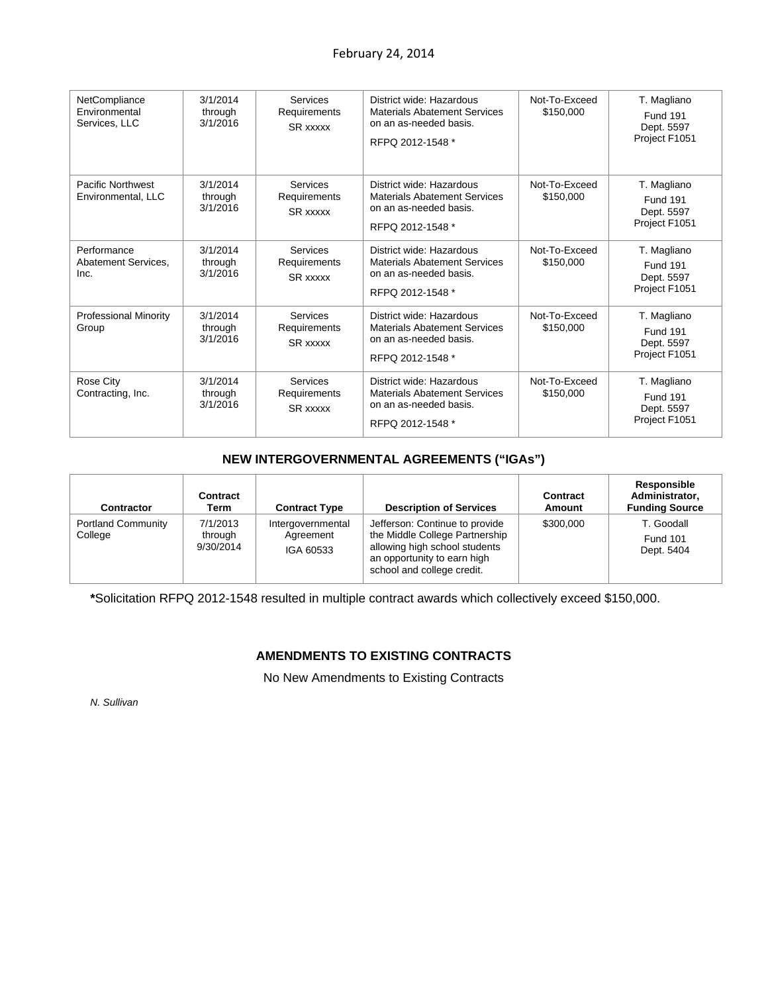| NetCompliance<br>Environmental<br>Services, LLC | 3/1/2014<br>through<br>3/1/2016 | <b>Services</b><br>Requirements<br><b>SR xxxxx</b> | District wide: Hazardous<br><b>Materials Abatement Services</b><br>on an as-needed basis.<br>RFPQ 2012-1548 * | Not-To-Exceed<br>\$150,000 | T. Magliano<br><b>Fund 191</b><br>Dept. 5597<br>Project F1051 |
|-------------------------------------------------|---------------------------------|----------------------------------------------------|---------------------------------------------------------------------------------------------------------------|----------------------------|---------------------------------------------------------------|
| Pacific Northwest<br>Environmental, LLC         | 3/1/2014<br>through<br>3/1/2016 | <b>Services</b><br>Requirements<br>SR xxxxx        | District wide: Hazardous<br><b>Materials Abatement Services</b><br>on an as-needed basis.<br>RFPQ 2012-1548 * | Not-To-Exceed<br>\$150,000 | T. Magliano<br>Fund 191<br>Dept. 5597<br>Project F1051        |
| Performance<br>Abatement Services.<br>Inc.      | 3/1/2014<br>through<br>3/1/2016 | <b>Services</b><br>Requirements<br>SR xxxxx        | District wide: Hazardous<br><b>Materials Abatement Services</b><br>on an as-needed basis.<br>RFPQ 2012-1548 * | Not-To-Exceed<br>\$150,000 | T. Magliano<br><b>Fund 191</b><br>Dept. 5597<br>Project F1051 |
| <b>Professional Minority</b><br>Group           | 3/1/2014<br>through<br>3/1/2016 | <b>Services</b><br>Requirements<br>SR xxxxx        | District wide: Hazardous<br><b>Materials Abatement Services</b><br>on an as-needed basis.<br>RFPQ 2012-1548 * | Not-To-Exceed<br>\$150,000 | T. Magliano<br><b>Fund 191</b><br>Dept. 5597<br>Project F1051 |
| Rose City<br>Contracting, Inc.                  | 3/1/2014<br>through<br>3/1/2016 | <b>Services</b><br>Requirements<br>SR xxxxx        | District wide: Hazardous<br><b>Materials Abatement Services</b><br>on an as-needed basis.<br>RFPQ 2012-1548 * | Not-To-Exceed<br>\$150,000 | T. Magliano<br><b>Fund 191</b><br>Dept. 5597<br>Project F1051 |

# **NEW INTERGOVERNMENTAL AGREEMENTS ("IGAs")**

| <b>Contractor</b>                    | Contract<br>Term                 | <b>Contract Type</b>                        | <b>Description of Services</b>                                                                                                                                 | Contract<br>Amount | Responsible<br>Administrator,<br><b>Funding Source</b> |
|--------------------------------------|----------------------------------|---------------------------------------------|----------------------------------------------------------------------------------------------------------------------------------------------------------------|--------------------|--------------------------------------------------------|
| <b>Portland Community</b><br>College | 7/1/2013<br>through<br>9/30/2014 | Intergovernmental<br>Agreement<br>IGA 60533 | Jefferson: Continue to provide<br>the Middle College Partnership<br>allowing high school students<br>an opportunity to earn high<br>school and college credit. | \$300,000          | T. Goodall<br><b>Fund 101</b><br>Dept. 5404            |

**\***Solicitation RFPQ 2012-1548 resulted in multiple contract awards which collectively exceed \$150,000.

# **AMENDMENTS TO EXISTING CONTRACTS**

No New Amendments to Existing Contracts

*N. Sullivan*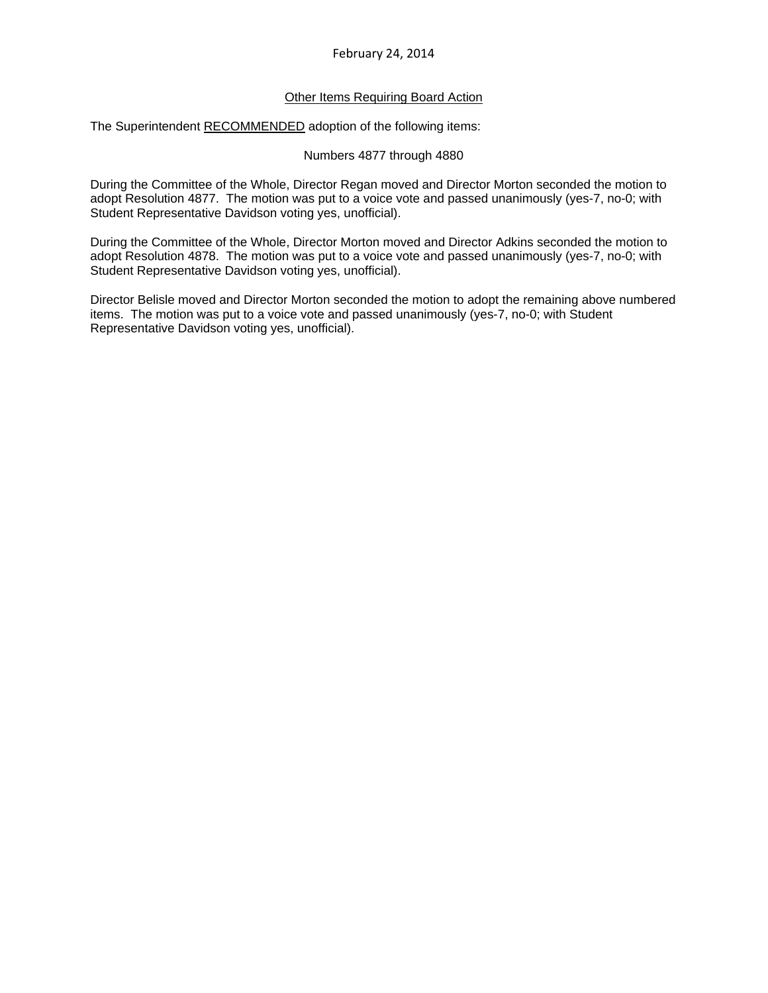# Other Items Requiring Board Action

The Superintendent RECOMMENDED adoption of the following items:

## Numbers 4877 through 4880

During the Committee of the Whole, Director Regan moved and Director Morton seconded the motion to adopt Resolution 4877. The motion was put to a voice vote and passed unanimously (yes-7, no-0; with Student Representative Davidson voting yes, unofficial).

During the Committee of the Whole, Director Morton moved and Director Adkins seconded the motion to adopt Resolution 4878. The motion was put to a voice vote and passed unanimously (yes-7, no-0; with Student Representative Davidson voting yes, unofficial).

Director Belisle moved and Director Morton seconded the motion to adopt the remaining above numbered items. The motion was put to a voice vote and passed unanimously (yes-7, no-0; with Student Representative Davidson voting yes, unofficial).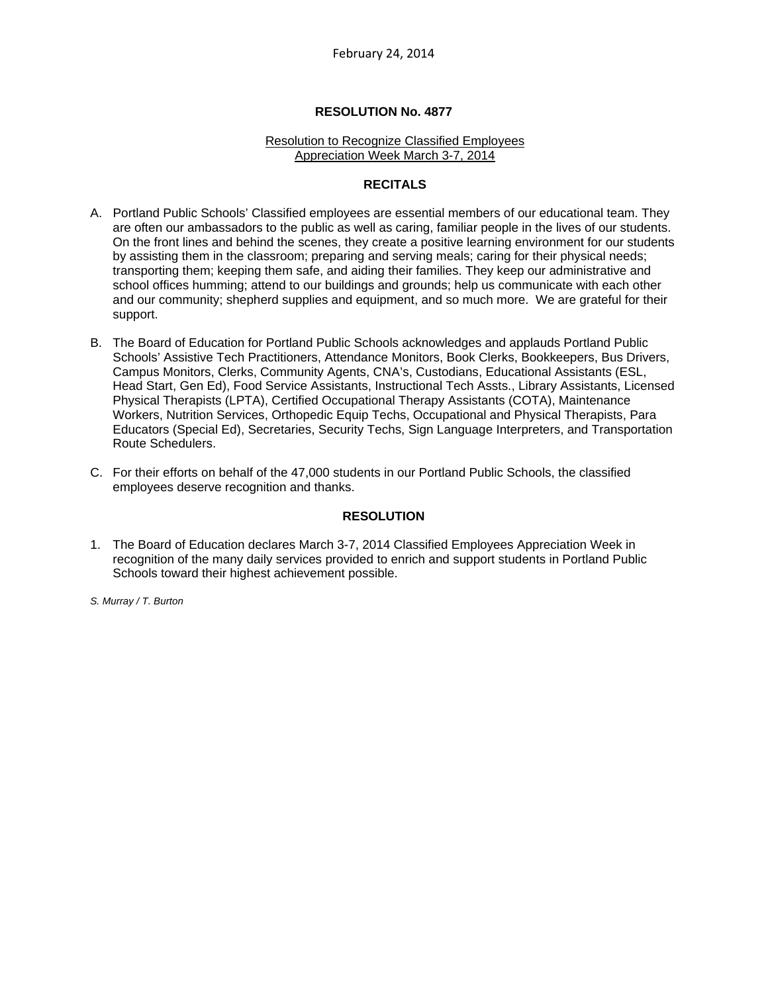#### Resolution to Recognize Classified Employees Appreciation Week March 3-7, 2014

## **RECITALS**

- A. Portland Public Schools' Classified employees are essential members of our educational team. They are often our ambassadors to the public as well as caring, familiar people in the lives of our students. On the front lines and behind the scenes, they create a positive learning environment for our students by assisting them in the classroom; preparing and serving meals; caring for their physical needs; transporting them; keeping them safe, and aiding their families. They keep our administrative and school offices humming; attend to our buildings and grounds; help us communicate with each other and our community; shepherd supplies and equipment, and so much more. We are grateful for their support.
- B. The Board of Education for Portland Public Schools acknowledges and applauds Portland Public Schools' Assistive Tech Practitioners, Attendance Monitors, Book Clerks, Bookkeepers, Bus Drivers, Campus Monitors, Clerks, Community Agents, CNA's, Custodians, Educational Assistants (ESL, Head Start, Gen Ed), Food Service Assistants, Instructional Tech Assts., Library Assistants, Licensed Physical Therapists (LPTA), Certified Occupational Therapy Assistants (COTA), Maintenance Workers, Nutrition Services, Orthopedic Equip Techs, Occupational and Physical Therapists, Para Educators (Special Ed), Secretaries, Security Techs, Sign Language Interpreters, and Transportation Route Schedulers.
- C. For their efforts on behalf of the 47,000 students in our Portland Public Schools, the classified employees deserve recognition and thanks.

#### **RESOLUTION**

1. The Board of Education declares March 3-7, 2014 Classified Employees Appreciation Week in recognition of the many daily services provided to enrich and support students in Portland Public Schools toward their highest achievement possible.

*S. Murray / T. Burton*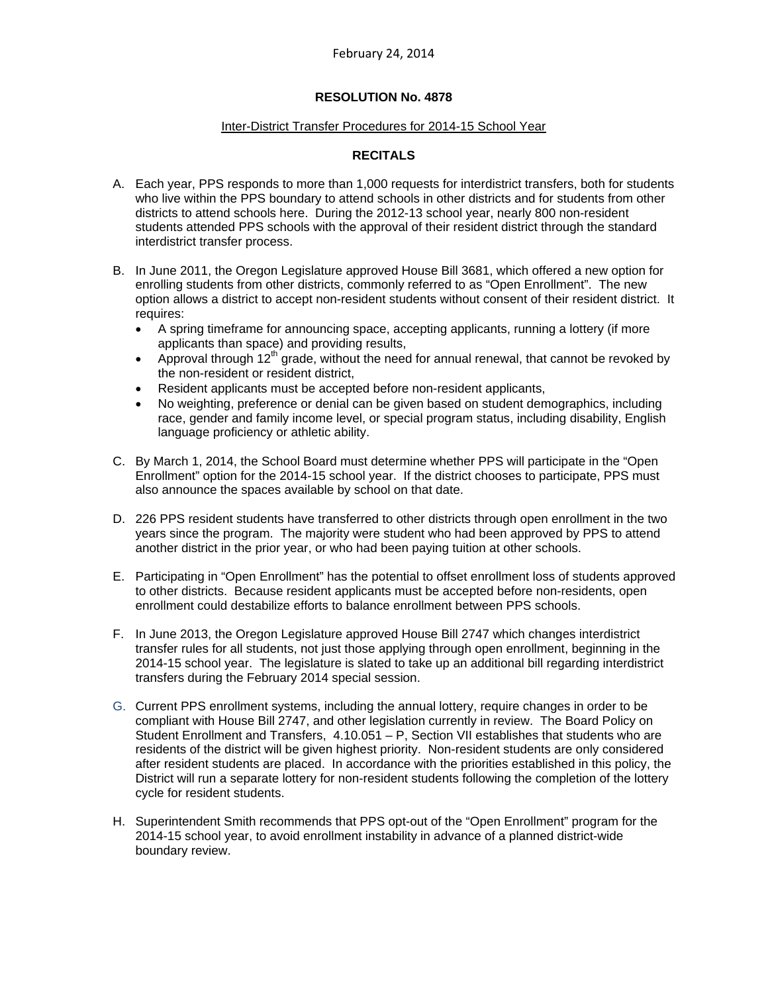#### Inter-District Transfer Procedures for 2014-15 School Year

# **RECITALS**

- A. Each year, PPS responds to more than 1,000 requests for interdistrict transfers, both for students who live within the PPS boundary to attend schools in other districts and for students from other districts to attend schools here. During the 2012-13 school year, nearly 800 non-resident students attended PPS schools with the approval of their resident district through the standard interdistrict transfer process.
- B. In June 2011, the Oregon Legislature approved House Bill 3681, which offered a new option for enrolling students from other districts, commonly referred to as "Open Enrollment". The new option allows a district to accept non-resident students without consent of their resident district. It requires:
	- A spring timeframe for announcing space, accepting applicants, running a lottery (if more applicants than space) and providing results,
	- Approval through  $12<sup>th</sup>$  grade, without the need for annual renewal, that cannot be revoked by the non-resident or resident district,
	- Resident applicants must be accepted before non-resident applicants,
	- No weighting, preference or denial can be given based on student demographics, including race, gender and family income level, or special program status, including disability, English language proficiency or athletic ability.
- C. By March 1, 2014, the School Board must determine whether PPS will participate in the "Open Enrollment" option for the 2014-15 school year. If the district chooses to participate, PPS must also announce the spaces available by school on that date.
- D. 226 PPS resident students have transferred to other districts through open enrollment in the two years since the program. The majority were student who had been approved by PPS to attend another district in the prior year, or who had been paying tuition at other schools.
- E. Participating in "Open Enrollment" has the potential to offset enrollment loss of students approved to other districts. Because resident applicants must be accepted before non-residents, open enrollment could destabilize efforts to balance enrollment between PPS schools.
- F. In June 2013, the Oregon Legislature approved House Bill 2747 which changes interdistrict transfer rules for all students, not just those applying through open enrollment, beginning in the 2014-15 school year. The legislature is slated to take up an additional bill regarding interdistrict transfers during the February 2014 special session.
- G. Current PPS enrollment systems, including the annual lottery, require changes in order to be compliant with House Bill 2747, and other legislation currently in review. The Board Policy on Student Enrollment and Transfers, 4.10.051 – P, Section VII establishes that students who are residents of the district will be given highest priority. Non-resident students are only considered after resident students are placed. In accordance with the priorities established in this policy, the District will run a separate lottery for non-resident students following the completion of the lottery cycle for resident students.
- H. Superintendent Smith recommends that PPS opt-out of the "Open Enrollment" program for the 2014-15 school year, to avoid enrollment instability in advance of a planned district-wide boundary review.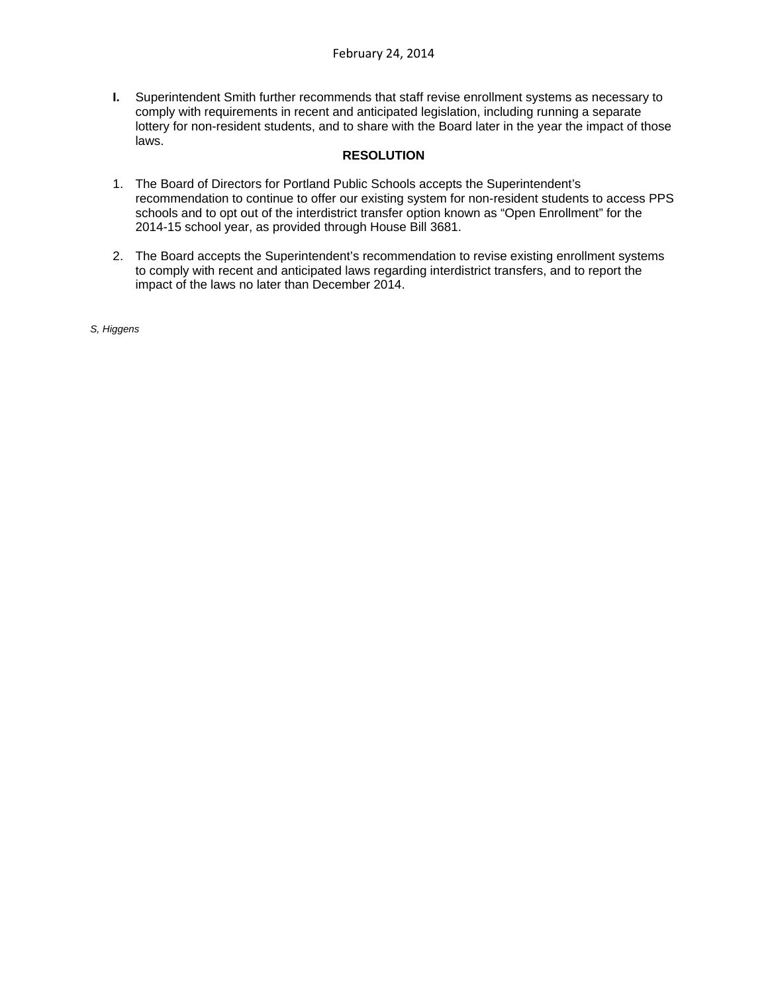**I.** Superintendent Smith further recommends that staff revise enrollment systems as necessary to comply with requirements in recent and anticipated legislation, including running a separate lottery for non-resident students, and to share with the Board later in the year the impact of those laws.

# **RESOLUTION**

- 1. The Board of Directors for Portland Public Schools accepts the Superintendent's recommendation to continue to offer our existing system for non-resident students to access PPS schools and to opt out of the interdistrict transfer option known as "Open Enrollment" for the 2014-15 school year, as provided through House Bill 3681.
- 2. The Board accepts the Superintendent's recommendation to revise existing enrollment systems to comply with recent and anticipated laws regarding interdistrict transfers, and to report the impact of the laws no later than December 2014.

*S, Higgens*